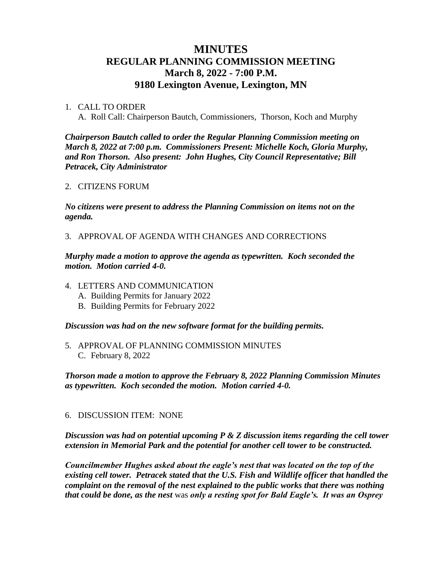# **MINUTES REGULAR PLANNING COMMISSION MEETING March 8, 2022 - 7:00 P.M. 9180 Lexington Avenue, Lexington, MN**

### 1. CALL TO ORDER

A. Roll Call: Chairperson Bautch, Commissioners, Thorson, Koch and Murphy

*Chairperson Bautch called to order the Regular Planning Commission meeting on March 8, 2022 at 7:00 p.m. Commissioners Present: Michelle Koch, Gloria Murphy, and Ron Thorson. Also present: John Hughes, City Council Representative; Bill Petracek, City Administrator*

#### 2. CITIZENS FORUM

*No citizens were present to address the Planning Commission on items not on the agenda.*

3. APPROVAL OF AGENDA WITH CHANGES AND CORRECTIONS

*Murphy made a motion to approve the agenda as typewritten. Koch seconded the motion. Motion carried 4-0.*

- 4. LETTERS AND COMMUNICATION
	- A. Building Permits for January 2022
	- B. Building Permits for February 2022

*Discussion was had on the new software format for the building permits.* 

5. APPROVAL OF PLANNING COMMISSION MINUTES C. February 8, 2022

*Thorson made a motion to approve the February 8, 2022 Planning Commission Minutes as typewritten. Koch seconded the motion. Motion carried 4-0.*

### 6. DISCUSSION ITEM: NONE

*Discussion was had on potential upcoming P & Z discussion items regarding the cell tower extension in Memorial Park and the potential for another cell tower to be constructed.* 

*Councilmember Hughes asked about the eagle's nest that was located on the top of the existing cell tower. Petracek stated that the U.S. Fish and Wildlife officer that handled the complaint on the removal of the nest explained to the public works that there was nothing that could be done, as the nest* was *only a resting spot for Bald Eagle's. It was an Osprey*